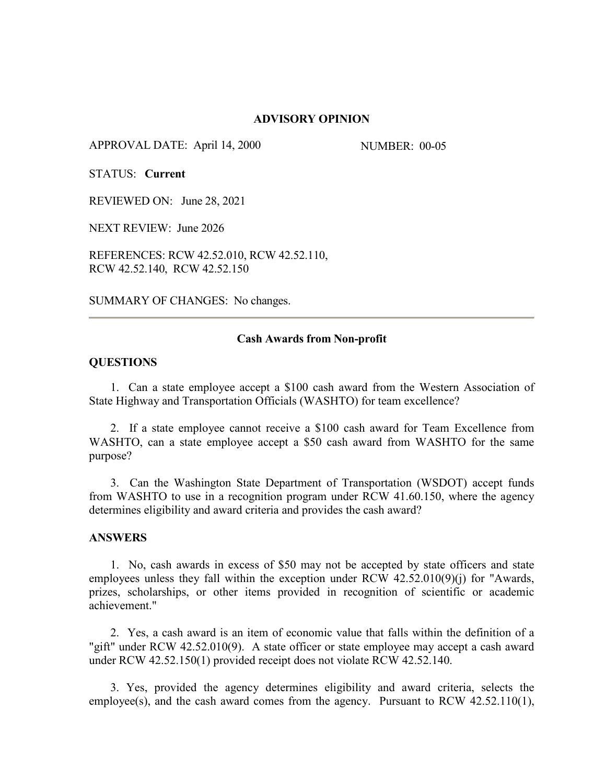#### **ADVISORY OPINION**

APPROVAL DATE: April 14, 2000 NUMBER: 00-05

STATUS: **Current**

REVIEWED ON: June 28, 2021

NEXT REVIEW: June 2026

REFERENCES: RCW 42.52.010, RCW 42.52.110, RCW 42.52.140, RCW 42.52.150

SUMMARY OF CHANGES: No changes.

## **Cash Awards from Non-profit**

## **QUESTIONS**

1. Can a state employee accept a \$100 cash award from the Western Association of State Highway and Transportation Officials (WASHTO) for team excellence?

2. If a state employee cannot receive a \$100 cash award for Team Excellence from WASHTO, can a state employee accept a \$50 cash award from WASHTO for the same purpose?

3. Can the Washington State Department of Transportation (WSDOT) accept funds from WASHTO to use in a recognition program under RCW 41.60.150, where the agency determines eligibility and award criteria and provides the cash award?

#### **ANSWERS**

1. No, cash awards in excess of \$50 may not be accepted by state officers and state employees unless they fall within the exception under RCW 42.52.010(9)(j) for "Awards, prizes, scholarships, or other items provided in recognition of scientific or academic achievement."

2. Yes, a cash award is an item of economic value that falls within the definition of a "gift" under RCW 42.52.010(9). A state officer or state employee may accept a cash award under RCW 42.52.150(1) provided receipt does not violate RCW 42.52.140.

 3. Yes, provided the agency determines eligibility and award criteria, selects the employee(s), and the cash award comes from the agency. Pursuant to RCW 42.52.110(1),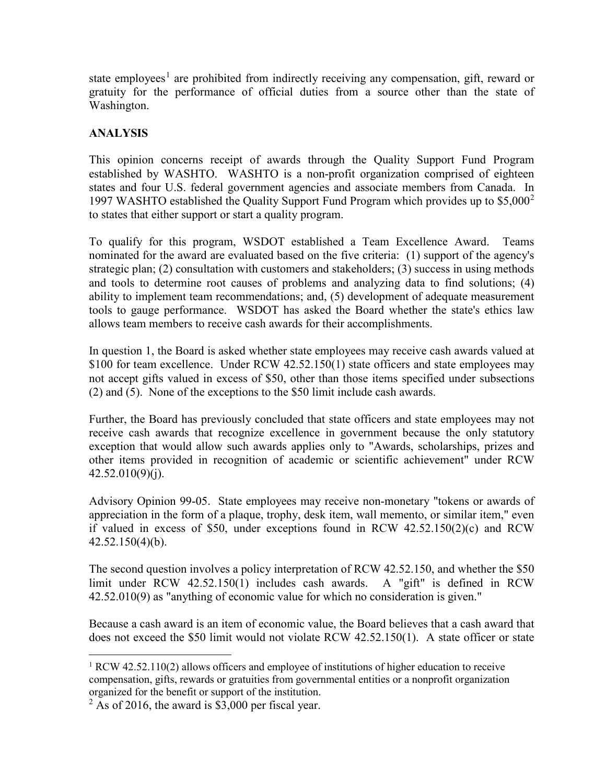state employees<sup>[1](#page-1-0)</sup> are prohibited from indirectly receiving any compensation, gift, reward or gratuity for the performance of official duties from a source other than the state of Washington.

# **ANALYSIS**

This opinion concerns receipt of awards through the Quality Support Fund Program established by WASHTO. WASHTO is a non-profit organization comprised of eighteen states and four U.S. federal government agencies and associate members from Canada. In 1997 WASHTO established the Quality Support Fund Program which provides up to  $$5,000^2$  $$5,000^2$ to states that either support or start a quality program.

To qualify for this program, WSDOT established a Team Excellence Award. Teams nominated for the award are evaluated based on the five criteria: (1) support of the agency's strategic plan; (2) consultation with customers and stakeholders; (3) success in using methods and tools to determine root causes of problems and analyzing data to find solutions; (4) ability to implement team recommendations; and, (5) development of adequate measurement tools to gauge performance. WSDOT has asked the Board whether the state's ethics law allows team members to receive cash awards for their accomplishments.

In question 1, the Board is asked whether state employees may receive cash awards valued at \$100 for team excellence. Under RCW 42.52.150(1) state officers and state employees may not accept gifts valued in excess of \$50, other than those items specified under subsections (2) and (5). None of the exceptions to the \$50 limit include cash awards.

Further, the Board has previously concluded that state officers and state employees may not receive cash awards that recognize excellence in government because the only statutory exception that would allow such awards applies only to "Awards, scholarships, prizes and other items provided in recognition of academic or scientific achievement" under RCW  $42.52.010(9)(j).$ 

Advisory Opinion 99-05. State employees may receive non-monetary "tokens or awards of appreciation in the form of a plaque, trophy, desk item, wall memento, or similar item," even if valued in excess of \$50, under exceptions found in RCW 42.52.150(2)(c) and RCW 42.52.150(4)(b).

The second question involves a policy interpretation of RCW 42.52.150, and whether the \$50 limit under RCW 42.52.150(1) includes cash awards. A "gift" is defined in RCW 42.52.010(9) as "anything of economic value for which no consideration is given."

Because a cash award is an item of economic value, the Board believes that a cash award that does not exceed the \$50 limit would not violate RCW 42.52.150(1). A state officer or state

<span id="page-1-0"></span><sup>&</sup>lt;sup>1</sup> RCW 42.52.110(2) allows officers and employee of institutions of higher education to receive compensation, gifts, rewards or gratuities from governmental entities or a nonprofit organization organized for the benefit or support of the institution.

<span id="page-1-1"></span> $2$  As of 2016, the award is \$3,000 per fiscal year.